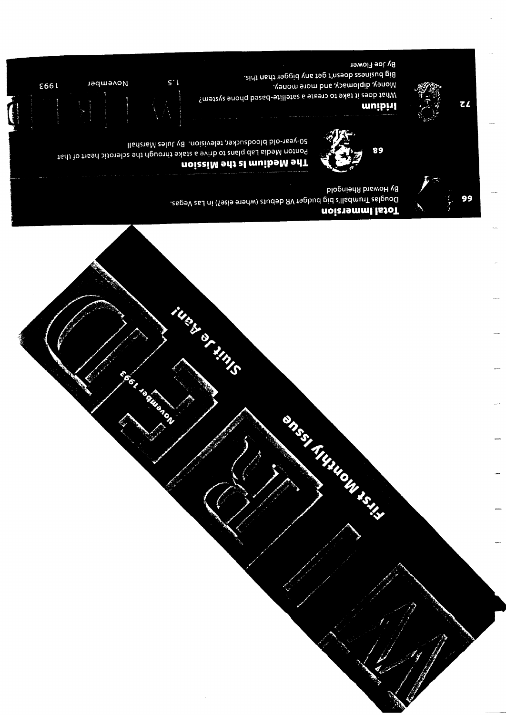**By Howard Rheingold** Douglas Trumball's big budget VR debuts (where else?) in Las Vegas. Total Immersion

S0-year-old bloodsucker, television. By Jules Marshall Tedt to the after the oritor and the through the sciencist heart of that The Medium Is the Mission

instruction of the Content



**STEP THINGH!** 

Big business doesn't get any bigger than this. Money, diplomacy, and more money. What does it take to create a satellite-based phone system?





99



By Joe Flower











November

**E661** 

 $\mathsf{S}^{\dagger}$ 

**CELEBRATION**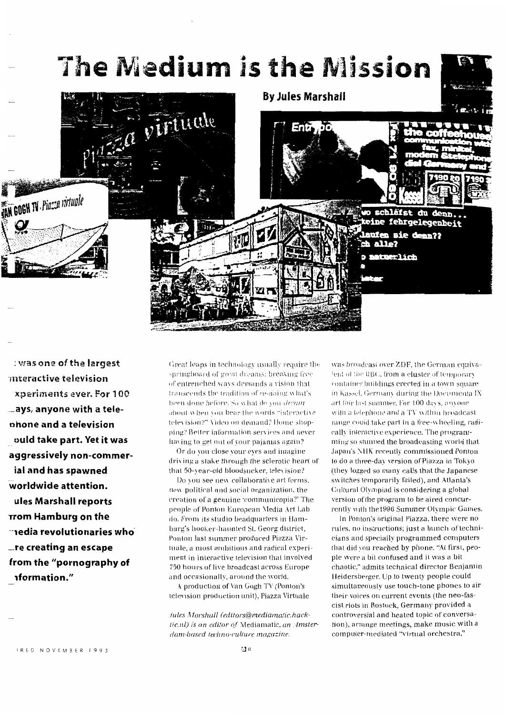

: was one of the largest mteractive television xperiments ever. For 100 ays, anyone with a telephone and a television ould take part. Yet it was aggressively non-commerial and has spawned worldwide attention. ules Marshall reports Trom Hamburg on the  $\neg$ iedia revolutionaries who $\neg$  $\_$ re creating an escape from the "pornography of *nformation."* 

Great leaps in technology usually require the springboard of great dreams; breaking free of entrenched ways demands a vision that transcends the tradition of re-doing what's been done before. So what do you dream about when you hear the words "interactive television?" Video on demand? Home shopping? Better information services and never having to get out of your pajamas again?

Or do you close your eyes and imagine driving a stake through the sclerotic heart of that 50-year-old bloodsucker, television?

Do you see new collaborative art forms, new political and social organization, the creation of a genuine 'communicopia?' The people of Ponton European Media Art Lab do. From its studio headquarters in Hamburg's hooker-haunted St. Georg district, Ponton last summer produced Piazza Virtuale, a most ambitious and radical experiment in interactive television that involved 750 hours of live broadcast across Europe and occasionally, around the world.

A production of Van Gogh TV (Ponton's television production unit), Piazza Virtuale

Jules Marshall (editors@mediamatic.hacktic.nl) is an editor of Mediamatic, an Amsterdam-based techno-culture magazine.

was broadcast over ZDF, the German equivalent of the BBC, from a cluster of temporary container buildings erected in a town square in Kassel, Germany during the Documenta IX art fair last summer. For 100 days, anyone with a telephone and a TV within broadcast range could take part in a free-wheeling, radically interactive experience. The programming so stunned the broadcasting world that Japan's NHK recently commissioned Ponton to do a three-day version of Piazza in Tokyo (they logged so many calls that the Japanese switches temporarily failed), and Atlanta's Cultural Olympiad is considering a global version of the program to be aired concurrently with the 1996 Summer Olympic Games.

In Ponton's original Piazza, there were no rules, no instructions; just a bunch of technicians and specially programmed computers that did you reached by phone. "At first, people were a bit confused and it was a bit chaotic," admits technical director Benjamin Heidersberger. Up to twenty people could simultaneously use touch-tone phones to air their voices on current events (the neo-fascist riots in Rostock, Germany provided a controversial and heated topic of conversation), arrange meetings, make music with a computer-mediated "virtual orchestra,"

IRED NOVEMBER 1993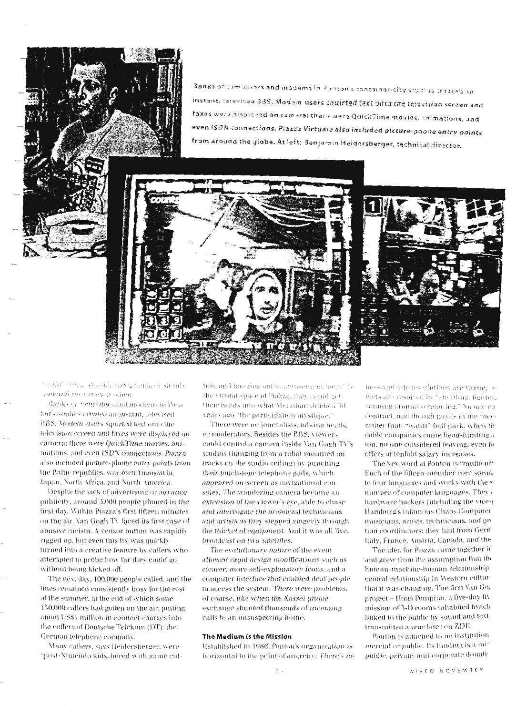Banks of compasses and modems in Ponton's container-city studius created an instant, televised 385. Modem users squirted text onto the felevision screen and faxes were displayed on camera; there were QuickTime movies, animations, and even ISDN connections. Piazza Virtuale also included picture-phone entry points from around the globe. At left: Benjamin Heidersberger, technical director.





mainthusical dacsifics programs, or simply ant and case at each other.

Banks of computers and moderns in Ponton's studios created an instant, televised BBS. Modem-users squirted text onto the television screen and faxes were displayed on camera; there were QuickTime movies, animations, and even ISDN connections. Piazza also included picture-phone entry points from the Baltic republics, war-torn Yugoslavia. Japan, North Africa, and North America.

Despite the lack of advertising or advance publicity, around 5,000 people phoned in the first day. Within Piazza's first fifteen minutes on the air. Van Gogh TV faced its first case of abusive racism. A censor button was rapidly rigged up, but even this fix was quickly turned into a creative feature by callers who attempted to probe how far they could go without being kicked off.

The next day, 100,000 people called, and the lines remained consistently busy for the rest of the summer, at the end of which some 150,000 callers had gotten on the air, putting about US\$1 million in connect charges into the coffers of Deutsche Telekom (DT), the German telephone company.

Many callers, says Heidersberger, were "post-Nintendo kids, bored with game culture and haoging out in amusement hank" be the virtual space of Piazza, they could get their heads into what McLuhan dubbed 50. years ago "the participation mystique."

There were no journalists, talking heads, or moderators. Besides the BBS, viewers could control a camera inside Van Gogh TV's studios (hanging from a robot mounted on tracks on the studio ceiling) by punching their touch-tone telephone pads, which appeared on-screen as navigational consoles. The wandering camera became an extension of the viewer's eye, able to chase and interrogate the broadcast technicians and artists as they stepped gingerly through the thicket of equipment. And it was all live, broadcast on two satellites.

The evolutionary nature of the event allowed rapid design modifications such as clearer, more self-explanatory icons, and a computer interface that enabled deaf people to access the system. There were problems, of course, like when the Kassel phone exchange shunted thousands of incoming calls to an unsuspecting home.

### The Medium is the Mission

Established in 1986, Ponton's organization is horizontal to the point of anarchy: There's nohoss and job descriptions are vague; co-Piets are resolved by "shouting, fightmacomming around screaming." No one hacontract, and though pay is in the "neerather than "wants" ball park, when thcable companies came head-hunting a ton, no one considered leaving, even fo offers of tenfold salary increases.

The key word at Ponton is "multicult" Each of the fifteen-member core speakto four languages and works with the s number of computer languages. They  $\imath$ hardware hackers (including the vice-Hamburg's infamous Chaos Computer musicians, artists, technicians, and pro tion coordinators; they hail from Gern Italy, France, Austria, Canada, and the

The idea for Piazza came together in and grew from the assumption that the human-machine-human relationship central relationship in Western cufturthat it was changing. The first Van Go: project – Hotel Pompino, a five-day liv mission of 5-D rooms inhabited byact linked to the public by sound and text transmitted a year later on ZDE.

Ponton is attached to no institution mercial or public. Its funding is a mi: public, private, and corporate donati-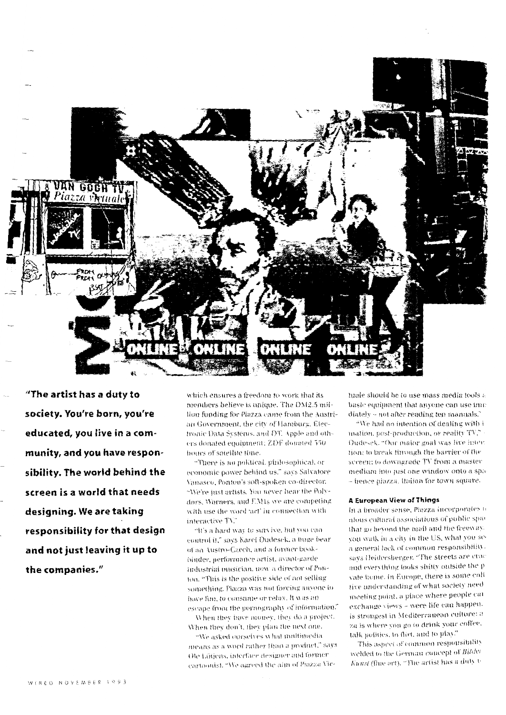

"The artist has a duty to society. You're born, you're educated, you live in a community, and you have responsibility. The world behind the screen is a world that needs designing. We are taking responsibility for that design and not just leaving it up to the companies."

which ensures a freedom to work that its members believe is unique. The DM2.5 million funding for Piazza came from the Austrian Government, the city of Hamburg. Electronic Data Systems, and DT. Apple and others donated equipment: ZDF donated 550 hours of satellite time.

"There is no political, philosophical, or economic power behind us." says Salvatore Vanasco, Ponton's soft-spoken co-director. "We're just artists. You never hear the Polydors, Warners, and EMIs we are competing with use the word 'art' in connection with interactive TV."

"It's a hard way to survive, but you can control it," says Karel Dudesek, a huge bear of an Austro-Czech, and a former bookbinder, performance artist, avant-garde industrial musician, now a director of Ponton. "This is the positive side of not selling something. Piazza was not forcing anyone to have fun, to consume or relax. It was an escape from the pornography of information."

When they have money, they do a project. When they don't, they plan the next one.

"We asked ourselves what multimedia means as a word rather than a product," says Ole Lütjens, interface designer and former cartoonist. "We agreed the aim of Piazza Virtuale should be to use mass media tools a basic equipment that anyone can use imm diately - not after reading ten manuals.

"We had no intention of dealing with i mation, post-production, or reality TV," Dudesek. "Our major goal was live inter tion; to break through the barrier of the screen; to downgrade TV from a master medium into just one window onto a spa - hence piazza, Italian for town square.

## A European View of Things

In a broader sense, Piazza incorporates a ulous cultural associations of public spa that go beyond the mall and the freeway. you walk in a city in the US, what you sea general lack of common responsibility. says Heidersberger. "The streets are crac and everything looks shitty outside the p vate home. In Europe, there is some coll tive understanding of what society need meeting point, a place where people car exchange views - were life can happen. is strongest in Mediterranean culture: a za is where you go to drink your coffee. talk politics, to flirt, and to play.

This aspect of common responsibility welded to the German concept of Bilder Kunst (fine art). "The artist has a duty to